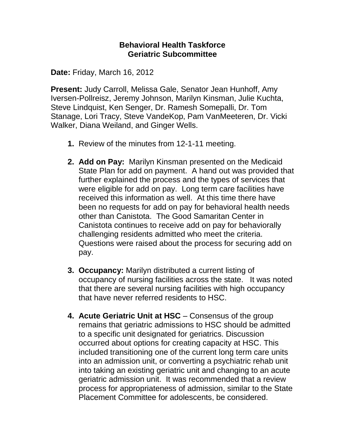## **Behavioral Health Taskforce Geriatric Subcommittee**

**Date:** Friday, March 16, 2012

**Present:** Judy Carroll, Melissa Gale, Senator Jean Hunhoff, Amy Iversen-Pollreisz, Jeremy Johnson, Marilyn Kinsman, Julie Kuchta, Steve Lindquist, Ken Senger, Dr. Ramesh Somepalli, Dr. Tom Stanage, Lori Tracy, Steve VandeKop, Pam VanMeeteren, Dr. Vicki Walker, Diana Weiland, and Ginger Wells.

- **1.** Review of the minutes from 12-1-11 meeting.
- **2. Add on Pay:** Marilyn Kinsman presented on the Medicaid State Plan for add on payment. A hand out was provided that further explained the process and the types of services that were eligible for add on pay. Long term care facilities have received this information as well. At this time there have been no requests for add on pay for behavioral health needs other than Canistota. The Good Samaritan Center in Canistota continues to receive add on pay for behaviorally challenging residents admitted who meet the criteria. Questions were raised about the process for securing add on pay.
- **3. Occupancy:** Marilyn distributed a current listing of occupancy of nursing facilities across the state. It was noted that there are several nursing facilities with high occupancy that have never referred residents to HSC.
- **4. Acute Geriatric Unit at HSC** Consensus of the group remains that geriatric admissions to HSC should be admitted to a specific unit designated for geriatrics. Discussion occurred about options for creating capacity at HSC. This included transitioning one of the current long term care units into an admission unit, or converting a psychiatric rehab unit into taking an existing geriatric unit and changing to an acute geriatric admission unit. It was recommended that a review process for appropriateness of admission, similar to the State Placement Committee for adolescents, be considered.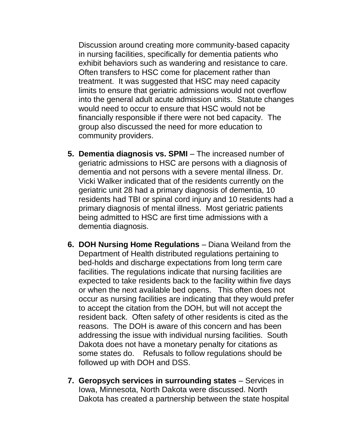Discussion around creating more community-based capacity in nursing facilities, specifically for dementia patients who exhibit behaviors such as wandering and resistance to care. Often transfers to HSC come for placement rather than treatment. It was suggested that HSC may need capacity limits to ensure that geriatric admissions would not overflow into the general adult acute admission units. Statute changes would need to occur to ensure that HSC would not be financially responsible if there were not bed capacity. The group also discussed the need for more education to community providers.

- **5. Dementia diagnosis vs. SPMI** The increased number of geriatric admissions to HSC are persons with a diagnosis of dementia and not persons with a severe mental illness. Dr. Vicki Walker indicated that of the residents currently on the geriatric unit 28 had a primary diagnosis of dementia, 10 residents had TBI or spinal cord injury and 10 residents had a primary diagnosis of mental illness. Most geriatric patients being admitted to HSC are first time admissions with a dementia diagnosis.
- **6. DOH Nursing Home Regulations** Diana Weiland from the Department of Health distributed regulations pertaining to bed-holds and discharge expectations from long term care facilities. The regulations indicate that nursing facilities are expected to take residents back to the facility within five days or when the next available bed opens. This often does not occur as nursing facilities are indicating that they would prefer to accept the citation from the DOH, but will not accept the resident back. Often safety of other residents is cited as the reasons. The DOH is aware of this concern and has been addressing the issue with individual nursing facilities. South Dakota does not have a monetary penalty for citations as some states do. Refusals to follow regulations should be followed up with DOH and DSS.
- **7. Geropsych services in surrounding states** Services in Iowa, Minnesota, North Dakota were discussed. North Dakota has created a partnership between the state hospital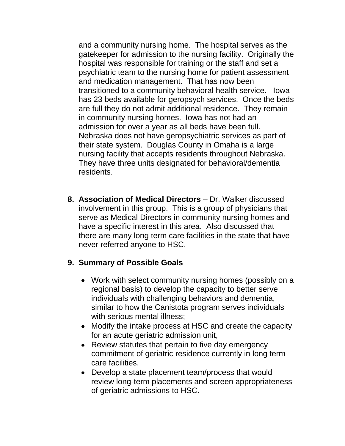and a community nursing home. The hospital serves as the gatekeeper for admission to the nursing facility. Originally the hospital was responsible for training or the staff and set a psychiatric team to the nursing home for patient assessment and medication management. That has now been transitioned to a community behavioral health service. Iowa has 23 beds available for geropsych services. Once the beds are full they do not admit additional residence. They remain in community nursing homes. Iowa has not had an admission for over a year as all beds have been full. Nebraska does not have geropsychiatric services as part of their state system. Douglas County in Omaha is a large nursing facility that accepts residents throughout Nebraska. They have three units designated for behavioral/dementia residents.

**8. Association of Medical Directors** – Dr. Walker discussed involvement in this group. This is a group of physicians that serve as Medical Directors in community nursing homes and have a specific interest in this area. Also discussed that there are many long term care facilities in the state that have never referred anyone to HSC.

## **9. Summary of Possible Goals**

- Work with select community nursing homes (possibly on a regional basis) to develop the capacity to better serve individuals with challenging behaviors and dementia, similar to how the Canistota program serves individuals with serious mental illness;
- Modify the intake process at HSC and create the capacity for an acute geriatric admission unit,
- Review statutes that pertain to five day emergency commitment of geriatric residence currently in long term care facilities.
- Develop a state placement team/process that would review long-term placements and screen appropriateness of geriatric admissions to HSC.